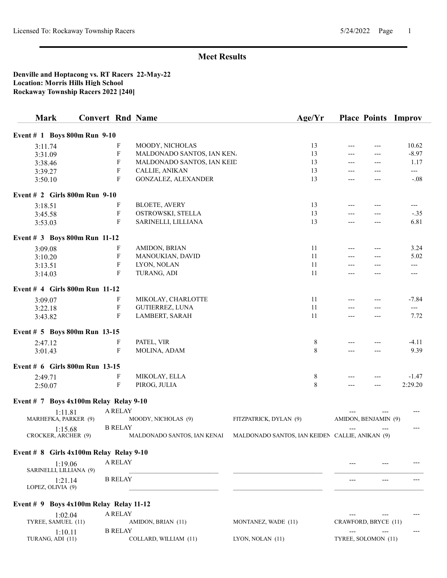#### Denville and Hoptacong vs. RT Racers 22-May-22 Location: Morris Hills High School Rockaway Township Racers 2022 [240]

| <b>Mark</b>                                 | <b>Convert Rnd Name</b> |                           |                             | Age/Yr                                          |                              |       | <b>Place Points Improv</b> |
|---------------------------------------------|-------------------------|---------------------------|-----------------------------|-------------------------------------------------|------------------------------|-------|----------------------------|
| Event # 1 Boys 800m Run 9-10                |                         |                           |                             |                                                 |                              |       |                            |
| 3:11.74                                     |                         | F                         | MOODY, NICHOLAS             | 13                                              |                              |       | 10.62                      |
| 3:31.09                                     |                         | F                         | MALDONADO SANTOS, IAN KEN.  | 13                                              | ---                          | ---   | $-8.97$                    |
| 3:38.46                                     |                         | F                         | MALDONADO SANTOS, IAN KEID  | 13                                              |                              | $---$ | 1.17                       |
| 3:39.27                                     |                         | F                         | CALLIE, ANIKAN              | 13                                              |                              |       | $---$                      |
| 3:50.10                                     |                         | F                         | GONZALEZ, ALEXANDER         | 13                                              |                              | ---   | $-.08$                     |
| Event # 2 Girls 800m Run 9-10               |                         |                           |                             |                                                 |                              |       |                            |
| 3:18.51                                     |                         | F                         | <b>BLOETE, AVERY</b>        | 13                                              | $---$                        | $---$ | $---$                      |
| 3:45.58                                     |                         | F                         | OSTROWSKI, STELLA           | 13                                              |                              |       | $-.35$                     |
| 3:53.03                                     |                         | $\mathbf{F}$              | SARINELLI, LILLIANA         | 13                                              | $---$                        | ---   | 6.81                       |
| Event # 3 Boys 800m Run 11-12               |                         |                           |                             |                                                 |                              |       |                            |
| 3:09.08                                     |                         | F                         | AMIDON, BRIAN               | 11                                              | $---$                        | $---$ | 3.24                       |
| 3:10.20                                     |                         | $\boldsymbol{\mathrm{F}}$ | MANOUKIAN, DAVID            | 11                                              |                              | $---$ | 5.02                       |
| 3:13.51                                     |                         | F                         | LYON, NOLAN                 | 11                                              |                              |       | $---$                      |
| 3:14.03                                     |                         | F                         | TURANG, ADI                 | 11                                              |                              |       | $---$                      |
| Event # 4 Girls 800m Run 11-12              |                         |                           |                             |                                                 |                              |       |                            |
| 3:09.07                                     |                         | F                         | MIKOLAY, CHARLOTTE          | 11                                              |                              |       | $-7.84$                    |
| 3:22.18                                     |                         | F                         | <b>GUTIERREZ, LUNA</b>      | 11                                              |                              |       | $---$                      |
| 3:43.82                                     |                         | F                         | LAMBERT, SARAH              | 11                                              | $---$                        | ---   | 7.72                       |
|                                             |                         |                           |                             |                                                 |                              |       |                            |
| Event # 5 Boys 800m Run 13-15               |                         |                           |                             |                                                 |                              |       |                            |
| 2:47.12                                     |                         | F                         | PATEL, VIR                  | 8                                               | ---                          | ---   | $-4.11$                    |
| 3:01.43                                     |                         | F                         | MOLINA, ADAM                | 8                                               |                              | ---   | 9.39                       |
| Event # 6 Girls 800m Run 13-15              |                         |                           |                             |                                                 |                              |       |                            |
| 2:49.71                                     |                         | F                         | MIKOLAY, ELLA               | 8                                               |                              |       | $-1.47$                    |
| 2:50.07                                     |                         | F                         | PIROG, JULIA                | 8                                               |                              |       | 2:29.20                    |
| Event # $7$ Boys 4x100m Relay Relay 9-10    |                         |                           |                             |                                                 |                              |       |                            |
| 1:11.81                                     |                         | A RELAY                   |                             |                                                 |                              |       | ---                        |
| MARHEFKA, PARKER (9)                        |                         |                           | MOODY, NICHOLAS (9)         | FITZPATRICK, DYLAN (9)                          | AMIDON, BENJAMIN (9)         |       |                            |
| 1:15.68                                     |                         | <b>B RELAY</b>            |                             |                                                 |                              | ---   | ---                        |
| CROCKER, ARCHER (9)                         |                         |                           | MALDONADO SANTOS, IAN KENAI | MALDONADO SANTOS, IAN KEIDEN CALLIE, ANIKAN (9) |                              |       |                            |
| Event $# 8$ Girls $4x100m$ Relay Relay 9-10 |                         |                           |                             |                                                 |                              |       |                            |
| 1:19.06<br>SARINELLI, LILLIANA (9)          |                         | A RELAY                   |                             |                                                 |                              |       |                            |
| 1:21.14<br>LOPEZ, OLIVIA (9)                |                         | <b>B RELAY</b>            |                             |                                                 |                              |       |                            |
| Event $# 9$ Boys $4x100m$ Relay Relay 11-12 |                         |                           |                             |                                                 |                              |       |                            |
|                                             |                         |                           |                             |                                                 |                              |       |                            |
| 1:02.04<br>TYREE, SAMUEL (11)               |                         | A RELAY                   | AMIDON, BRIAN (11)          | MONTANEZ, WADE (11)                             | CRAWFORD, BRYCE (11)         |       |                            |
| 1:10.11<br>TURANG, ADI (11)                 |                         | <b>B RELAY</b>            | COLLARD, WILLIAM (11)       | LYON, NOLAN (11)                                | $---$<br>TYREE, SOLOMON (11) | $---$ |                            |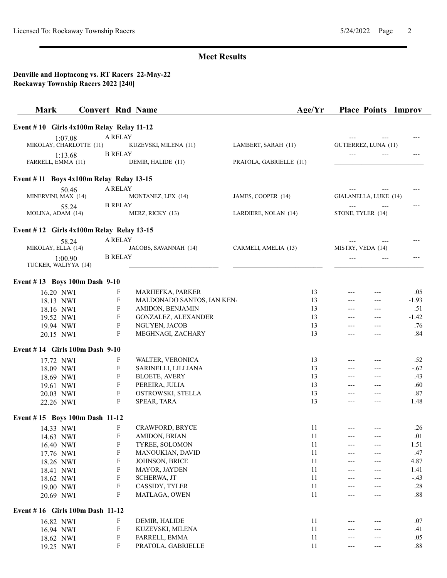| Event $# 10$ Girls $4x100m$ Relay Relay 11-12<br><b>A RELAY</b><br>1:07.08<br>MIKOLAY, CHARLOTTE (11)<br>GUTIERREZ, LUNA (11)<br>KUZEVSKI, MILENA (11)<br>LAMBERT, SARAH (11)<br><b>B RELAY</b><br>1:13.68<br>---<br>FARRELL, EMMA (11)<br>DEMIR, HALIDE (11)<br>PRATOLA, GABRIELLE (11)<br>Event #11 Boys 4x100m Relay Relay 13-15<br>A RELAY<br>50.46<br>GIALANELLA, LUKE (14)<br>MINERVINI, MAX (14)<br>JAMES, COOPER (14)<br>MONTANEZ, LEX (14)<br><b>B RELAY</b><br>55.24<br>$---$<br>$---$<br>---<br>MOLINA, ADAM (14)<br>MERZ, RICKY (13)<br>LARDIERE, NOLAN (14)<br>STONE, TYLER (14)<br>Event $# 12$ Girls $4x100m$ Relay Relay 13-15<br>A RELAY<br>58.24<br>MIKOLAY, ELLA (14)<br>JACOBS, SAVANNAH (14)<br>CARMELI, AMELIA (13)<br>MISTRY, VEDA (14)<br><b>B RELAY</b><br>1:00.90<br>$---$<br>TUCKER, WALIYYA (14)<br>Event #13 Boys 100m Dash 9-10<br>16.20 NWI<br>F<br>MARHEFKA, PARKER<br>13<br>.05<br>---<br>---<br>F<br>MALDONADO SANTOS, IAN KEN.<br>13<br>$-1.93$<br>18.13 NWI<br>$---$<br>---<br>F<br>AMIDON, BENJAMIN<br>13<br>.51<br>18.16 NWI<br>$---$<br>$---$<br>$\mathbf F$<br>13<br>$-1.42$<br>GONZALEZ, ALEXANDER<br>19.52 NWI<br>---<br>$\boldsymbol{\mathrm{F}}$<br>13<br>.76<br>NGUYEN, JACOB<br>19.94 NWI<br>$---$<br>---<br>$\mathbf F$<br>13<br>.84<br>MEGHNAGI, ZACHARY<br>20.15 NWI<br>---<br>Event #14 Girls 100m Dash 9-10<br>F<br>13<br>.52<br>WALTER, VERONICA<br>17.72 NWI<br>---<br>F<br>$-.62$<br>13<br>SARINELLI, LILLIANA<br>18.09 NWI<br>$---$<br>---<br>$\boldsymbol{\mathrm{F}}$<br>13<br>.43<br><b>BLOETE, AVERY</b><br>18.69 NWI<br>$---$<br>$---$<br>$\boldsymbol{\mathrm{F}}$<br>13<br>.60<br>PEREIRA, JULIA<br>19.61 NWI<br>---<br>F<br>.87<br>13<br>OSTROWSKI, STELLA<br>20.03 NWI<br>$---$<br>---<br>F<br>13<br>1.48<br>SPEAR, TARA<br>22.26 NWI<br>$---$<br>$---$<br>Event #15 Boys 100m Dash 11-12<br>F<br>11<br>CRAWFORD, BRYCE<br>.26<br>14.33 NWI<br>$---$<br>AMIDON, BRIAN<br>F<br>11<br>.01<br>14.63 NWI<br>---<br>F<br>11<br>TYREE, SOLOMON<br>1.51<br>16.40 NWI<br>---<br>---<br>$\boldsymbol{\mathrm{F}}$<br>11<br>MANOUKIAN, DAVID<br>.47<br>17.76 NWI<br>---<br>---<br>${\bf F}$<br>4.87<br>JOHNSON, BRICE<br>11<br>18.26 NWI<br>---<br>---<br>${\bf F}$<br>11<br>MAYOR, JAYDEN<br>1.41<br>18.41 NWI<br>---<br>---<br>${\bf F}$<br>11<br>SCHERWA, JT<br>$-.43$<br>18.62 NWI<br>---<br>$\boldsymbol{\mathrm{F}}$<br>CASSIDY, TYLER<br>11<br>.28<br>19.00 NWI<br>---<br>---<br>${\bf F}$<br>11<br>$.88\,$<br>MATLAGA, OWEN<br>20.69 NWI<br>---<br>---<br>Event #16 Girls 100m Dash 11-12<br>F<br>DEMIR, HALIDE<br>11<br>.07<br>16.82 NWI<br>F<br>11<br>.41<br>KUZEVSKI, MILENA<br>16.94 NWI<br>F<br>FARRELL, EMMA<br>11<br>.05<br>18.62 NWI<br>---<br>---<br>F<br>PRATOLA, GABRIELLE<br>$.88\,$<br>11<br>19.25 NWI<br>---<br>--- | <b>Mark</b> | <b>Convert Rnd Name</b> | Age/Yr | <b>Place Points Improv</b> |  |
|-------------------------------------------------------------------------------------------------------------------------------------------------------------------------------------------------------------------------------------------------------------------------------------------------------------------------------------------------------------------------------------------------------------------------------------------------------------------------------------------------------------------------------------------------------------------------------------------------------------------------------------------------------------------------------------------------------------------------------------------------------------------------------------------------------------------------------------------------------------------------------------------------------------------------------------------------------------------------------------------------------------------------------------------------------------------------------------------------------------------------------------------------------------------------------------------------------------------------------------------------------------------------------------------------------------------------------------------------------------------------------------------------------------------------------------------------------------------------------------------------------------------------------------------------------------------------------------------------------------------------------------------------------------------------------------------------------------------------------------------------------------------------------------------------------------------------------------------------------------------------------------------------------------------------------------------------------------------------------------------------------------------------------------------------------------------------------------------------------------------------------------------------------------------------------------------------------------------------------------------------------------------------------------------------------------------------------------------------------------------------------------------------------------------------------------------------------------------------------------------------------------------------------------------------------------------------------------------------------------------------------------------------------------------------------------------------------------------------------------------------------------------------------------------------|-------------|-------------------------|--------|----------------------------|--|
|                                                                                                                                                                                                                                                                                                                                                                                                                                                                                                                                                                                                                                                                                                                                                                                                                                                                                                                                                                                                                                                                                                                                                                                                                                                                                                                                                                                                                                                                                                                                                                                                                                                                                                                                                                                                                                                                                                                                                                                                                                                                                                                                                                                                                                                                                                                                                                                                                                                                                                                                                                                                                                                                                                                                                                                                 |             |                         |        |                            |  |
|                                                                                                                                                                                                                                                                                                                                                                                                                                                                                                                                                                                                                                                                                                                                                                                                                                                                                                                                                                                                                                                                                                                                                                                                                                                                                                                                                                                                                                                                                                                                                                                                                                                                                                                                                                                                                                                                                                                                                                                                                                                                                                                                                                                                                                                                                                                                                                                                                                                                                                                                                                                                                                                                                                                                                                                                 |             |                         |        |                            |  |
|                                                                                                                                                                                                                                                                                                                                                                                                                                                                                                                                                                                                                                                                                                                                                                                                                                                                                                                                                                                                                                                                                                                                                                                                                                                                                                                                                                                                                                                                                                                                                                                                                                                                                                                                                                                                                                                                                                                                                                                                                                                                                                                                                                                                                                                                                                                                                                                                                                                                                                                                                                                                                                                                                                                                                                                                 |             |                         |        |                            |  |
|                                                                                                                                                                                                                                                                                                                                                                                                                                                                                                                                                                                                                                                                                                                                                                                                                                                                                                                                                                                                                                                                                                                                                                                                                                                                                                                                                                                                                                                                                                                                                                                                                                                                                                                                                                                                                                                                                                                                                                                                                                                                                                                                                                                                                                                                                                                                                                                                                                                                                                                                                                                                                                                                                                                                                                                                 |             |                         |        |                            |  |
|                                                                                                                                                                                                                                                                                                                                                                                                                                                                                                                                                                                                                                                                                                                                                                                                                                                                                                                                                                                                                                                                                                                                                                                                                                                                                                                                                                                                                                                                                                                                                                                                                                                                                                                                                                                                                                                                                                                                                                                                                                                                                                                                                                                                                                                                                                                                                                                                                                                                                                                                                                                                                                                                                                                                                                                                 |             |                         |        |                            |  |
|                                                                                                                                                                                                                                                                                                                                                                                                                                                                                                                                                                                                                                                                                                                                                                                                                                                                                                                                                                                                                                                                                                                                                                                                                                                                                                                                                                                                                                                                                                                                                                                                                                                                                                                                                                                                                                                                                                                                                                                                                                                                                                                                                                                                                                                                                                                                                                                                                                                                                                                                                                                                                                                                                                                                                                                                 |             |                         |        |                            |  |
|                                                                                                                                                                                                                                                                                                                                                                                                                                                                                                                                                                                                                                                                                                                                                                                                                                                                                                                                                                                                                                                                                                                                                                                                                                                                                                                                                                                                                                                                                                                                                                                                                                                                                                                                                                                                                                                                                                                                                                                                                                                                                                                                                                                                                                                                                                                                                                                                                                                                                                                                                                                                                                                                                                                                                                                                 |             |                         |        |                            |  |
|                                                                                                                                                                                                                                                                                                                                                                                                                                                                                                                                                                                                                                                                                                                                                                                                                                                                                                                                                                                                                                                                                                                                                                                                                                                                                                                                                                                                                                                                                                                                                                                                                                                                                                                                                                                                                                                                                                                                                                                                                                                                                                                                                                                                                                                                                                                                                                                                                                                                                                                                                                                                                                                                                                                                                                                                 |             |                         |        |                            |  |
|                                                                                                                                                                                                                                                                                                                                                                                                                                                                                                                                                                                                                                                                                                                                                                                                                                                                                                                                                                                                                                                                                                                                                                                                                                                                                                                                                                                                                                                                                                                                                                                                                                                                                                                                                                                                                                                                                                                                                                                                                                                                                                                                                                                                                                                                                                                                                                                                                                                                                                                                                                                                                                                                                                                                                                                                 |             |                         |        |                            |  |
|                                                                                                                                                                                                                                                                                                                                                                                                                                                                                                                                                                                                                                                                                                                                                                                                                                                                                                                                                                                                                                                                                                                                                                                                                                                                                                                                                                                                                                                                                                                                                                                                                                                                                                                                                                                                                                                                                                                                                                                                                                                                                                                                                                                                                                                                                                                                                                                                                                                                                                                                                                                                                                                                                                                                                                                                 |             |                         |        |                            |  |
|                                                                                                                                                                                                                                                                                                                                                                                                                                                                                                                                                                                                                                                                                                                                                                                                                                                                                                                                                                                                                                                                                                                                                                                                                                                                                                                                                                                                                                                                                                                                                                                                                                                                                                                                                                                                                                                                                                                                                                                                                                                                                                                                                                                                                                                                                                                                                                                                                                                                                                                                                                                                                                                                                                                                                                                                 |             |                         |        |                            |  |
|                                                                                                                                                                                                                                                                                                                                                                                                                                                                                                                                                                                                                                                                                                                                                                                                                                                                                                                                                                                                                                                                                                                                                                                                                                                                                                                                                                                                                                                                                                                                                                                                                                                                                                                                                                                                                                                                                                                                                                                                                                                                                                                                                                                                                                                                                                                                                                                                                                                                                                                                                                                                                                                                                                                                                                                                 |             |                         |        |                            |  |
|                                                                                                                                                                                                                                                                                                                                                                                                                                                                                                                                                                                                                                                                                                                                                                                                                                                                                                                                                                                                                                                                                                                                                                                                                                                                                                                                                                                                                                                                                                                                                                                                                                                                                                                                                                                                                                                                                                                                                                                                                                                                                                                                                                                                                                                                                                                                                                                                                                                                                                                                                                                                                                                                                                                                                                                                 |             |                         |        |                            |  |
|                                                                                                                                                                                                                                                                                                                                                                                                                                                                                                                                                                                                                                                                                                                                                                                                                                                                                                                                                                                                                                                                                                                                                                                                                                                                                                                                                                                                                                                                                                                                                                                                                                                                                                                                                                                                                                                                                                                                                                                                                                                                                                                                                                                                                                                                                                                                                                                                                                                                                                                                                                                                                                                                                                                                                                                                 |             |                         |        |                            |  |
|                                                                                                                                                                                                                                                                                                                                                                                                                                                                                                                                                                                                                                                                                                                                                                                                                                                                                                                                                                                                                                                                                                                                                                                                                                                                                                                                                                                                                                                                                                                                                                                                                                                                                                                                                                                                                                                                                                                                                                                                                                                                                                                                                                                                                                                                                                                                                                                                                                                                                                                                                                                                                                                                                                                                                                                                 |             |                         |        |                            |  |
|                                                                                                                                                                                                                                                                                                                                                                                                                                                                                                                                                                                                                                                                                                                                                                                                                                                                                                                                                                                                                                                                                                                                                                                                                                                                                                                                                                                                                                                                                                                                                                                                                                                                                                                                                                                                                                                                                                                                                                                                                                                                                                                                                                                                                                                                                                                                                                                                                                                                                                                                                                                                                                                                                                                                                                                                 |             |                         |        |                            |  |
|                                                                                                                                                                                                                                                                                                                                                                                                                                                                                                                                                                                                                                                                                                                                                                                                                                                                                                                                                                                                                                                                                                                                                                                                                                                                                                                                                                                                                                                                                                                                                                                                                                                                                                                                                                                                                                                                                                                                                                                                                                                                                                                                                                                                                                                                                                                                                                                                                                                                                                                                                                                                                                                                                                                                                                                                 |             |                         |        |                            |  |
|                                                                                                                                                                                                                                                                                                                                                                                                                                                                                                                                                                                                                                                                                                                                                                                                                                                                                                                                                                                                                                                                                                                                                                                                                                                                                                                                                                                                                                                                                                                                                                                                                                                                                                                                                                                                                                                                                                                                                                                                                                                                                                                                                                                                                                                                                                                                                                                                                                                                                                                                                                                                                                                                                                                                                                                                 |             |                         |        |                            |  |
|                                                                                                                                                                                                                                                                                                                                                                                                                                                                                                                                                                                                                                                                                                                                                                                                                                                                                                                                                                                                                                                                                                                                                                                                                                                                                                                                                                                                                                                                                                                                                                                                                                                                                                                                                                                                                                                                                                                                                                                                                                                                                                                                                                                                                                                                                                                                                                                                                                                                                                                                                                                                                                                                                                                                                                                                 |             |                         |        |                            |  |
|                                                                                                                                                                                                                                                                                                                                                                                                                                                                                                                                                                                                                                                                                                                                                                                                                                                                                                                                                                                                                                                                                                                                                                                                                                                                                                                                                                                                                                                                                                                                                                                                                                                                                                                                                                                                                                                                                                                                                                                                                                                                                                                                                                                                                                                                                                                                                                                                                                                                                                                                                                                                                                                                                                                                                                                                 |             |                         |        |                            |  |
|                                                                                                                                                                                                                                                                                                                                                                                                                                                                                                                                                                                                                                                                                                                                                                                                                                                                                                                                                                                                                                                                                                                                                                                                                                                                                                                                                                                                                                                                                                                                                                                                                                                                                                                                                                                                                                                                                                                                                                                                                                                                                                                                                                                                                                                                                                                                                                                                                                                                                                                                                                                                                                                                                                                                                                                                 |             |                         |        |                            |  |
|                                                                                                                                                                                                                                                                                                                                                                                                                                                                                                                                                                                                                                                                                                                                                                                                                                                                                                                                                                                                                                                                                                                                                                                                                                                                                                                                                                                                                                                                                                                                                                                                                                                                                                                                                                                                                                                                                                                                                                                                                                                                                                                                                                                                                                                                                                                                                                                                                                                                                                                                                                                                                                                                                                                                                                                                 |             |                         |        |                            |  |
|                                                                                                                                                                                                                                                                                                                                                                                                                                                                                                                                                                                                                                                                                                                                                                                                                                                                                                                                                                                                                                                                                                                                                                                                                                                                                                                                                                                                                                                                                                                                                                                                                                                                                                                                                                                                                                                                                                                                                                                                                                                                                                                                                                                                                                                                                                                                                                                                                                                                                                                                                                                                                                                                                                                                                                                                 |             |                         |        |                            |  |
|                                                                                                                                                                                                                                                                                                                                                                                                                                                                                                                                                                                                                                                                                                                                                                                                                                                                                                                                                                                                                                                                                                                                                                                                                                                                                                                                                                                                                                                                                                                                                                                                                                                                                                                                                                                                                                                                                                                                                                                                                                                                                                                                                                                                                                                                                                                                                                                                                                                                                                                                                                                                                                                                                                                                                                                                 |             |                         |        |                            |  |
|                                                                                                                                                                                                                                                                                                                                                                                                                                                                                                                                                                                                                                                                                                                                                                                                                                                                                                                                                                                                                                                                                                                                                                                                                                                                                                                                                                                                                                                                                                                                                                                                                                                                                                                                                                                                                                                                                                                                                                                                                                                                                                                                                                                                                                                                                                                                                                                                                                                                                                                                                                                                                                                                                                                                                                                                 |             |                         |        |                            |  |
|                                                                                                                                                                                                                                                                                                                                                                                                                                                                                                                                                                                                                                                                                                                                                                                                                                                                                                                                                                                                                                                                                                                                                                                                                                                                                                                                                                                                                                                                                                                                                                                                                                                                                                                                                                                                                                                                                                                                                                                                                                                                                                                                                                                                                                                                                                                                                                                                                                                                                                                                                                                                                                                                                                                                                                                                 |             |                         |        |                            |  |
|                                                                                                                                                                                                                                                                                                                                                                                                                                                                                                                                                                                                                                                                                                                                                                                                                                                                                                                                                                                                                                                                                                                                                                                                                                                                                                                                                                                                                                                                                                                                                                                                                                                                                                                                                                                                                                                                                                                                                                                                                                                                                                                                                                                                                                                                                                                                                                                                                                                                                                                                                                                                                                                                                                                                                                                                 |             |                         |        |                            |  |
|                                                                                                                                                                                                                                                                                                                                                                                                                                                                                                                                                                                                                                                                                                                                                                                                                                                                                                                                                                                                                                                                                                                                                                                                                                                                                                                                                                                                                                                                                                                                                                                                                                                                                                                                                                                                                                                                                                                                                                                                                                                                                                                                                                                                                                                                                                                                                                                                                                                                                                                                                                                                                                                                                                                                                                                                 |             |                         |        |                            |  |
|                                                                                                                                                                                                                                                                                                                                                                                                                                                                                                                                                                                                                                                                                                                                                                                                                                                                                                                                                                                                                                                                                                                                                                                                                                                                                                                                                                                                                                                                                                                                                                                                                                                                                                                                                                                                                                                                                                                                                                                                                                                                                                                                                                                                                                                                                                                                                                                                                                                                                                                                                                                                                                                                                                                                                                                                 |             |                         |        |                            |  |
|                                                                                                                                                                                                                                                                                                                                                                                                                                                                                                                                                                                                                                                                                                                                                                                                                                                                                                                                                                                                                                                                                                                                                                                                                                                                                                                                                                                                                                                                                                                                                                                                                                                                                                                                                                                                                                                                                                                                                                                                                                                                                                                                                                                                                                                                                                                                                                                                                                                                                                                                                                                                                                                                                                                                                                                                 |             |                         |        |                            |  |
|                                                                                                                                                                                                                                                                                                                                                                                                                                                                                                                                                                                                                                                                                                                                                                                                                                                                                                                                                                                                                                                                                                                                                                                                                                                                                                                                                                                                                                                                                                                                                                                                                                                                                                                                                                                                                                                                                                                                                                                                                                                                                                                                                                                                                                                                                                                                                                                                                                                                                                                                                                                                                                                                                                                                                                                                 |             |                         |        |                            |  |
|                                                                                                                                                                                                                                                                                                                                                                                                                                                                                                                                                                                                                                                                                                                                                                                                                                                                                                                                                                                                                                                                                                                                                                                                                                                                                                                                                                                                                                                                                                                                                                                                                                                                                                                                                                                                                                                                                                                                                                                                                                                                                                                                                                                                                                                                                                                                                                                                                                                                                                                                                                                                                                                                                                                                                                                                 |             |                         |        |                            |  |
|                                                                                                                                                                                                                                                                                                                                                                                                                                                                                                                                                                                                                                                                                                                                                                                                                                                                                                                                                                                                                                                                                                                                                                                                                                                                                                                                                                                                                                                                                                                                                                                                                                                                                                                                                                                                                                                                                                                                                                                                                                                                                                                                                                                                                                                                                                                                                                                                                                                                                                                                                                                                                                                                                                                                                                                                 |             |                         |        |                            |  |
|                                                                                                                                                                                                                                                                                                                                                                                                                                                                                                                                                                                                                                                                                                                                                                                                                                                                                                                                                                                                                                                                                                                                                                                                                                                                                                                                                                                                                                                                                                                                                                                                                                                                                                                                                                                                                                                                                                                                                                                                                                                                                                                                                                                                                                                                                                                                                                                                                                                                                                                                                                                                                                                                                                                                                                                                 |             |                         |        |                            |  |
|                                                                                                                                                                                                                                                                                                                                                                                                                                                                                                                                                                                                                                                                                                                                                                                                                                                                                                                                                                                                                                                                                                                                                                                                                                                                                                                                                                                                                                                                                                                                                                                                                                                                                                                                                                                                                                                                                                                                                                                                                                                                                                                                                                                                                                                                                                                                                                                                                                                                                                                                                                                                                                                                                                                                                                                                 |             |                         |        |                            |  |
|                                                                                                                                                                                                                                                                                                                                                                                                                                                                                                                                                                                                                                                                                                                                                                                                                                                                                                                                                                                                                                                                                                                                                                                                                                                                                                                                                                                                                                                                                                                                                                                                                                                                                                                                                                                                                                                                                                                                                                                                                                                                                                                                                                                                                                                                                                                                                                                                                                                                                                                                                                                                                                                                                                                                                                                                 |             |                         |        |                            |  |
|                                                                                                                                                                                                                                                                                                                                                                                                                                                                                                                                                                                                                                                                                                                                                                                                                                                                                                                                                                                                                                                                                                                                                                                                                                                                                                                                                                                                                                                                                                                                                                                                                                                                                                                                                                                                                                                                                                                                                                                                                                                                                                                                                                                                                                                                                                                                                                                                                                                                                                                                                                                                                                                                                                                                                                                                 |             |                         |        |                            |  |
|                                                                                                                                                                                                                                                                                                                                                                                                                                                                                                                                                                                                                                                                                                                                                                                                                                                                                                                                                                                                                                                                                                                                                                                                                                                                                                                                                                                                                                                                                                                                                                                                                                                                                                                                                                                                                                                                                                                                                                                                                                                                                                                                                                                                                                                                                                                                                                                                                                                                                                                                                                                                                                                                                                                                                                                                 |             |                         |        |                            |  |
|                                                                                                                                                                                                                                                                                                                                                                                                                                                                                                                                                                                                                                                                                                                                                                                                                                                                                                                                                                                                                                                                                                                                                                                                                                                                                                                                                                                                                                                                                                                                                                                                                                                                                                                                                                                                                                                                                                                                                                                                                                                                                                                                                                                                                                                                                                                                                                                                                                                                                                                                                                                                                                                                                                                                                                                                 |             |                         |        |                            |  |
|                                                                                                                                                                                                                                                                                                                                                                                                                                                                                                                                                                                                                                                                                                                                                                                                                                                                                                                                                                                                                                                                                                                                                                                                                                                                                                                                                                                                                                                                                                                                                                                                                                                                                                                                                                                                                                                                                                                                                                                                                                                                                                                                                                                                                                                                                                                                                                                                                                                                                                                                                                                                                                                                                                                                                                                                 |             |                         |        |                            |  |
|                                                                                                                                                                                                                                                                                                                                                                                                                                                                                                                                                                                                                                                                                                                                                                                                                                                                                                                                                                                                                                                                                                                                                                                                                                                                                                                                                                                                                                                                                                                                                                                                                                                                                                                                                                                                                                                                                                                                                                                                                                                                                                                                                                                                                                                                                                                                                                                                                                                                                                                                                                                                                                                                                                                                                                                                 |             |                         |        |                            |  |
|                                                                                                                                                                                                                                                                                                                                                                                                                                                                                                                                                                                                                                                                                                                                                                                                                                                                                                                                                                                                                                                                                                                                                                                                                                                                                                                                                                                                                                                                                                                                                                                                                                                                                                                                                                                                                                                                                                                                                                                                                                                                                                                                                                                                                                                                                                                                                                                                                                                                                                                                                                                                                                                                                                                                                                                                 |             |                         |        |                            |  |
|                                                                                                                                                                                                                                                                                                                                                                                                                                                                                                                                                                                                                                                                                                                                                                                                                                                                                                                                                                                                                                                                                                                                                                                                                                                                                                                                                                                                                                                                                                                                                                                                                                                                                                                                                                                                                                                                                                                                                                                                                                                                                                                                                                                                                                                                                                                                                                                                                                                                                                                                                                                                                                                                                                                                                                                                 |             |                         |        |                            |  |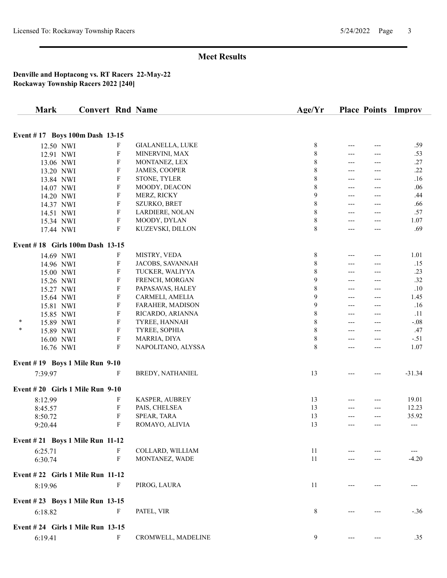| <b>Mark</b>                     | <b>Convert Rnd Name</b>          |                         | Age/Yr      |       |       | <b>Place Points Improv</b> |
|---------------------------------|----------------------------------|-------------------------|-------------|-------|-------|----------------------------|
|                                 |                                  |                         |             |       |       |                            |
|                                 | Event #17 Boys 100m Dash 13-15   |                         |             |       |       |                            |
| 12.50 NWI                       | F                                | <b>GIALANELLA, LUKE</b> | 8           | ---   | ---   | .59                        |
| 12.91 NWI                       | $\boldsymbol{\mathrm{F}}$        | MINERVINI, MAX          | 8           | ---   | ---   | .53                        |
| 13.06 NWI                       | $\boldsymbol{\mathrm{F}}$        | MONTANEZ, LEX           | $\,$ 8 $\,$ | $---$ | $---$ | .27                        |
| 13.20 NWI                       | $\boldsymbol{\mathrm{F}}$        | JAMES, COOPER           | 8           | ---   | ---   | .22                        |
| 13.84 NWI                       | F                                | STONE, TYLER            | 8           | ---   | ---   | .16                        |
| 14.07 NWI                       | F                                | MOODY, DEACON           | 8           | ---   | ---   | .06                        |
| 14.20 NWI                       | F                                | MERZ, RICKY             | 9           | ---   | $---$ | .44                        |
| 14.37 NWI                       | F                                | SZURKO, BRET            | 8           | ---   | $---$ | .66                        |
| 14.51 NWI                       | F                                | LARDIERE, NOLAN         | 8           | ---   | ---   | .57                        |
| 15.34 NWI                       | $\boldsymbol{\mathrm{F}}$        | MOODY, DYLAN            | 8           | ---   | ---   | 1.07                       |
| 17.44 NWI                       | $\boldsymbol{\mathrm{F}}$        | KUZEVSKI, DILLON        | 8           | ---   | ---   | .69                        |
|                                 | Event #18 Girls 100m Dash 13-15  |                         |             |       |       |                            |
| 14.69 NWI                       | F                                | MISTRY, VEDA            | $\,8\,$     | ---   | ---   | 1.01                       |
| 14.96 NWI                       | $\boldsymbol{\mathrm{F}}$        | JACOBS, SAVANNAH        | $\,$ 8 $\,$ | ---   | ---   | .15                        |
| 15.00 NWI                       | F                                | TUCKER, WALIYYA         | $\,$ 8 $\,$ | $---$ | $---$ | .23                        |
| 15.26 NWI                       | $\boldsymbol{\mathrm{F}}$        | FRENCH, MORGAN          | 9           | ---   | $---$ | .32                        |
| 15.27 NWI                       | F                                | PAPASAVAS, HALEY        | 8           | ---   | $---$ | .10                        |
| 15.64 NWI                       | F                                | CARMELI, AMELIA         | 9           | ---   | $---$ | 1.45                       |
| 15.81 NWI                       | F                                | FARAHER, MADISON        | 9           | ---   | ---   | .16                        |
| 15.85 NWI                       | F                                | RICARDO, ARIANNA        | 8           | $---$ | $---$ | .11                        |
| $\ast$<br>15.89 NWI             | F                                | TYREE, HANNAH           | 8           | ---   | $---$ | $-.08$                     |
| $\ast$<br>15.89 NWI             | $\boldsymbol{\mathrm{F}}$        | TYREE, SOPHIA           | 8           | ---   | ---   | .47                        |
| 16.00 NWI                       | $\boldsymbol{\mathrm{F}}$        | MARRIA, DIYA            | $\,8\,$     | ---   | ---   | $-.51$                     |
| 16.76 NWI                       | $\boldsymbol{\mathrm{F}}$        | NAPOLITANO, ALYSSA      | 8           | ---   | ---   | 1.07                       |
| Event #19 Boys 1 Mile Run 9-10  |                                  |                         |             |       |       |                            |
| 7:39.97                         | $\mathbf{F}$                     | BREDY, NATHANIEL        | 13          | ---   |       | $-31.34$                   |
| Event #20 Girls 1 Mile Run 9-10 |                                  |                         |             |       |       |                            |
| 8:12.99                         | F                                | KASPER, AUBREY          | 13          | ---   | ---   | 19.01                      |
| 8:45.57                         | $\boldsymbol{\mathrm{F}}$        | PAIS, CHELSEA           | 13          | ---   | $---$ | 12.23                      |
| 8:50.72                         | F                                | SPEAR, TARA             | 13          | ---   | ---   | 35.92                      |
| 9:20.44                         | F                                | ROMAYO, ALIVIA          | 13          | ---   | $---$ | ---                        |
| Event #21 Boys 1 Mile Run 11-12 |                                  |                         |             |       |       |                            |
| 6:25.71                         | F                                | COLLARD, WILLIAM        | 11          |       |       |                            |
| 6:30.74                         | $\mathbf F$                      | MONTANEZ, WADE          | 11          |       |       | $-4.20$                    |
|                                 | Event #22 Girls 1 Mile Run 11-12 |                         |             |       |       |                            |
| 8:19.96                         | F                                | PIROG, LAURA            | 11          |       |       |                            |
|                                 | Event #23 Boys 1 Mile Run 13-15  |                         |             |       |       |                            |
| 6:18.82                         | F                                | PATEL, VIR              | 8           |       |       | $-.36$                     |
|                                 | Event #24 Girls 1 Mile Run 13-15 |                         |             |       |       |                            |
| 6:19.41                         | F                                | CROMWELL, MADELINE      | 9           |       |       | .35                        |
|                                 |                                  |                         |             |       |       |                            |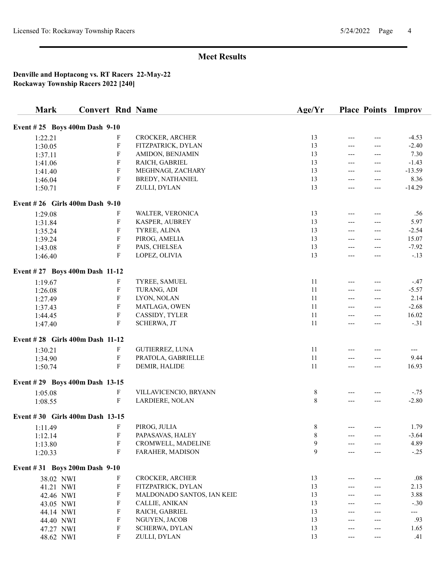| <b>Mark</b>                     | <b>Convert Rnd Name</b> |                                          |                            | Age/Yr      | <b>Place Points</b> |     | Improv            |
|---------------------------------|-------------------------|------------------------------------------|----------------------------|-------------|---------------------|-----|-------------------|
| Event #25 Boys 400m Dash 9-10   |                         |                                          |                            |             |                     |     |                   |
| 1:22.21                         |                         | F                                        | CROCKER, ARCHER            | 13          | $---$               | --- | $-4.53$           |
| 1:30.05                         |                         | $\boldsymbol{\mathrm{F}}$                | FITZPATRICK, DYLAN         | 13          | ---                 | --- | $-2.40$           |
| 1:37.11                         |                         | ${\bf F}$                                | AMIDON, BENJAMIN           | 13          | $---$               |     | 7.30              |
| 1:41.06                         |                         | F                                        | RAICH, GABRIEL             | 13          | $---$               | --- | $-1.43$           |
| 1:41.40                         |                         | $\boldsymbol{\mathrm{F}}$                | MEGHNAGI, ZACHARY          | 13          | $---$               | --- | $-13.59$          |
| 1:46.04                         |                         | $\boldsymbol{\mathrm{F}}$                | BREDY, NATHANIEL           | 13          | $---$               | --- | 8.36              |
| 1:50.71                         |                         | $\boldsymbol{\mathrm{F}}$                | ZULLI, DYLAN               | 13          | ---                 | --- | $-14.29$          |
| Event #26 Girls 400m Dash 9-10  |                         |                                          |                            |             |                     |     |                   |
|                                 |                         |                                          |                            | 13          |                     |     |                   |
| 1:29.08                         |                         | F                                        | WALTER, VERONICA           | 13          | ---                 |     | .56               |
| 1:31.84                         |                         | ${\bf F}$                                | KASPER, AUBREY             |             | $---$               |     | 5.97              |
| 1:35.24                         |                         | $\boldsymbol{\mathrm{F}}$                | TYREE, ALINA               | 13          | $---$               | --- | $-2.54$           |
| 1:39.24                         |                         | F                                        | PIROG, AMELIA              | 13          | ---                 | --- | 15.07             |
| 1:43.08                         |                         | $\boldsymbol{\mathrm{F}}$<br>$\mathbf F$ | PAIS, CHELSEA              | 13<br>13    | ---                 | --- | $-7.92$<br>$-.13$ |
| 1:46.40                         |                         |                                          | LOPEZ, OLIVIA              |             | ---                 | --- |                   |
| Event #27 Boys 400m Dash 11-12  |                         |                                          |                            |             |                     |     |                   |
| 1:19.67                         |                         | F                                        | TYREE, SAMUEL              | 11          | $---$               |     | $-.47$            |
| 1:26.08                         |                         | ${\bf F}$                                | TURANG, ADI                | 11          | ---                 |     | $-5.57$           |
| 1:27.49                         |                         | $\boldsymbol{\mathrm{F}}$                | LYON, NOLAN                | 11          | $---$               | --- | 2.14              |
| 1:37.43                         |                         | $\boldsymbol{\mathrm{F}}$                | MATLAGA, OWEN              | 11          | $---$               | --- | $-2.68$           |
| 1:44.45                         |                         | $\boldsymbol{\mathrm{F}}$                | CASSIDY, TYLER             | 11          | $---$               | --- | 16.02             |
| 1:47.40                         |                         | ${\bf F}$                                | SCHERWA, JT                | 11          | $---$               | --- | $-.31$            |
| Event #28 Girls 400m Dash 11-12 |                         |                                          |                            |             |                     |     |                   |
| 1:30.21                         |                         | F                                        | GUTIERREZ, LUNA            | 11          |                     |     | $---$             |
| 1:34.90                         |                         | $\boldsymbol{\mathrm{F}}$                | PRATOLA, GABRIELLE         | 11          | $---$               | --- | 9.44              |
| 1:50.74                         |                         | F                                        | DEMIR, HALIDE              | 11          | $---$               | --- | 16.93             |
| Event #29 Boys 400m Dash 13-15  |                         |                                          |                            |             |                     |     |                   |
| 1:05.08                         |                         | F                                        | VILLAVICENCIO, BRYANN      | 8           |                     |     | $-.75$            |
| 1:08.55                         |                         | $\boldsymbol{\mathrm{F}}$                | LARDIERE, NOLAN            | $\,$ 8 $\,$ | ---                 | --- | $-2.80$           |
| Event #30 Girls 400m Dash 13-15 |                         |                                          |                            |             |                     |     |                   |
| 1:11.49                         |                         | F                                        | PIROG, JULIA               | 8           | $---$               | --- | 1.79              |
| 1:12.14                         |                         | F                                        | PAPASAVAS, HALEY           | $\,$ 8 $\,$ |                     |     | $-3.64$           |
| 1:13.80                         |                         | F                                        | CROMWELL, MADELINE         | 9           |                     |     | 4.89              |
| 1:20.33                         |                         | F                                        | FARAHER, MADISON           | 9           | ---                 |     | $-.25$            |
| Event #31 Boys 200m Dash 9-10   |                         |                                          |                            |             |                     |     |                   |
| 38.02 NWI                       |                         | F                                        | CROCKER, ARCHER            | 13          |                     |     | $.08\,$           |
| 41.21 NWI                       |                         | ${\bf F}$                                | FITZPATRICK, DYLAN         | 13          | ---                 |     | 2.13              |
| 42.46 NWI                       |                         | F                                        | MALDONADO SANTOS, IAN KEID | 13          | ---                 | --- | 3.88              |
| 43.05 NWI                       |                         | ${\bf F}$                                | CALLIE, ANIKAN             | 13          | ---                 | --- | $-.30$            |
| 44.14 NWI                       |                         | F                                        | RAICH, GABRIEL             | 13          | $---$               | --- | ---               |
| 44.40 NWI                       |                         | $\boldsymbol{\mathrm{F}}$                | NGUYEN, JACOB              | 13          | ---                 | --- | .93               |
| 47.27 NWI                       |                         | F                                        | SCHERWA, DYLAN             | 13          | ---                 | --- | 1.65              |
| 48.62 NWI                       |                         | F                                        | ZULLI, DYLAN               | 13          | ---                 | --- | .41               |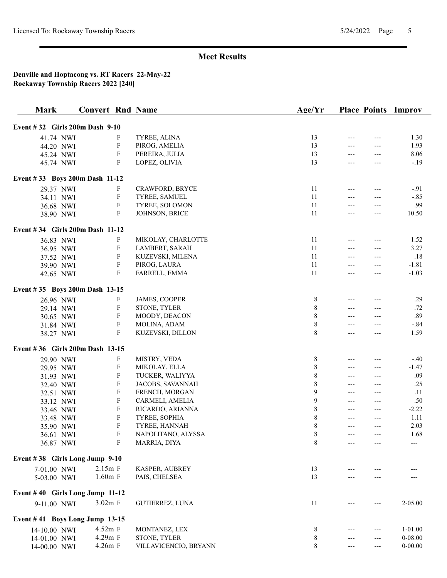| <b>Mark</b>                     | <b>Convert Rnd Name</b> |                           |                       | Age/Yr      |       | <b>Place Points</b> | Improv      |
|---------------------------------|-------------------------|---------------------------|-----------------------|-------------|-------|---------------------|-------------|
| Event #32 Girls 200m Dash 9-10  |                         |                           |                       |             |       |                     |             |
| 41.74 NWI                       |                         | F                         | TYREE, ALINA          | 13          | ---   | ---                 | 1.30        |
| 44.20 NWI                       |                         | F                         | PIROG, AMELIA         | 13          | ---   |                     | 1.93        |
| 45.24 NWI                       |                         | F                         | PEREIRA, JULIA        | 13          | ---   | ---                 | 8.06        |
| 45.74 NWI                       |                         | F                         | LOPEZ, OLIVIA         | 13          | ---   | ---                 | $-.19$      |
|                                 |                         |                           |                       |             |       |                     |             |
| Event #33 Boys 200m Dash 11-12  |                         |                           |                       |             |       |                     |             |
| 29.37 NWI                       |                         | F                         | CRAWFORD, BRYCE       | 11          | ---   |                     | $-.91$      |
| 34.11 NWI                       |                         | $\boldsymbol{\mathrm{F}}$ | TYREE, SAMUEL         | 11          | ---   |                     | $-.85$      |
| 36.68 NWI                       |                         | $\boldsymbol{\mathrm{F}}$ | TYREE, SOLOMON        | 11          | $---$ | ---                 | .99         |
| 38.90 NWI                       |                         | $\mathbf F$               | JOHNSON, BRICE        | 11          | ---   | ---                 | 10.50       |
| Event #34 Girls 200m Dash 11-12 |                         |                           |                       |             |       |                     |             |
| 36.83 NWI                       |                         | F                         | MIKOLAY, CHARLOTTE    | 11          | ---   | ---                 | 1.52        |
| 36.95 NWI                       |                         | F                         | LAMBERT, SARAH        | 11          | $---$ | ---                 | 3.27        |
| 37.52 NWI                       |                         | $\boldsymbol{\mathrm{F}}$ | KUZEVSKI, MILENA      | 11          | ---   | ---                 | .18         |
| 39.90 NWI                       |                         | $\boldsymbol{\mathrm{F}}$ | PIROG, LAURA          | 11          |       | ---                 | $-1.81$     |
| 42.65 NWI                       |                         | $\mathbf F$               | FARRELL, EMMA         | 11          | ---   | ---                 | $-1.03$     |
| Event #35 Boys 200m Dash 13-15  |                         |                           |                       |             |       |                     |             |
| 26.96 NWI                       |                         | F                         | JAMES, COOPER         | 8           | ---   | ---                 | .29         |
| 29.14 NWI                       |                         | F                         | STONE, TYLER          | 8           | ---   |                     | .72         |
| 30.65 NWI                       |                         | F                         | MOODY, DEACON         | 8           | ---   | ---                 | .89         |
| 31.84 NWI                       |                         | F                         | MOLINA, ADAM          | 8           | ---   | ---                 | $-.84$      |
| 38.27 NWI                       |                         | F                         | KUZEVSKI, DILLON      | 8           | ---   |                     | 1.59        |
| Event #36 Girls 200m Dash 13-15 |                         |                           |                       |             |       |                     |             |
| 29.90 NWI                       |                         | F                         | MISTRY, VEDA          | 8           | ---   |                     | $-.40$      |
| 29.95 NWI                       |                         | F                         | MIKOLAY, ELLA         | $\,$ 8 $\,$ | ---   | ---                 | $-1.47$     |
| 31.93 NWI                       |                         | F                         | TUCKER, WALIYYA       | $\,$ 8 $\,$ | ---   | ---                 | .09         |
| 32.40 NWI                       |                         | $\boldsymbol{\mathrm{F}}$ | JACOBS, SAVANNAH      | 8           | ---   | ---                 | .25         |
| 32.51 NWI                       |                         | $\boldsymbol{\mathrm{F}}$ | FRENCH, MORGAN        | 9           | $---$ | $---$               | .11         |
| 33.12 NWI                       |                         | F                         | CARMELI, AMELIA       | 9           | ---   | ---                 | .50         |
| 33.46 NWI                       |                         | F                         | RICARDO, ARIANNA      | 8           | ---   | ---                 | $-2.22$     |
| 33.48 NWI                       |                         | F                         | TYREE, SOPHIA         | 8           | ---   | ---                 | 1.11        |
| 35.90 NWI                       |                         | $\boldsymbol{\mathrm{F}}$ | TYREE, HANNAH         | 8           | ---   | ---                 | 2.03        |
| 36.61 NWI                       |                         | F                         | NAPOLITANO, ALYSSA    | 8           |       |                     | 1.68        |
| 36.87 NWI                       |                         | F                         | MARRIA, DIYA          | 8           |       |                     | ---         |
| Event #38 Girls Long Jump 9-10  |                         |                           |                       |             |       |                     |             |
| 7-01.00 NWI                     | $2.15m$ F               |                           | KASPER, AUBREY        | 13          |       |                     |             |
| 5-03.00 NWI                     | $1.60m$ F               |                           | PAIS, CHELSEA         | 13          |       |                     |             |
| Event #40 Girls Long Jump 11-12 |                         |                           |                       |             |       |                     |             |
| 9-11.00 NWI                     | 3.02m F                 |                           | GUTIERREZ, LUNA       | 11          |       |                     | 2-05.00     |
| Event #41 Boys Long Jump 13-15  |                         |                           |                       |             |       |                     |             |
| 14-10.00 NWI                    | 4.52m F                 |                           | MONTANEZ, LEX         | 8           |       | ---                 | $1 - 01.00$ |
| 14-01.00 NWI                    | 4.29m F                 |                           | STONE, TYLER          | 8           | ---   | ---                 | $0 - 08.00$ |
| 14-00.00 NWI                    | 4.26m F                 |                           | VILLAVICENCIO, BRYANN | 8           | ---   | ---                 | $0 - 00.00$ |